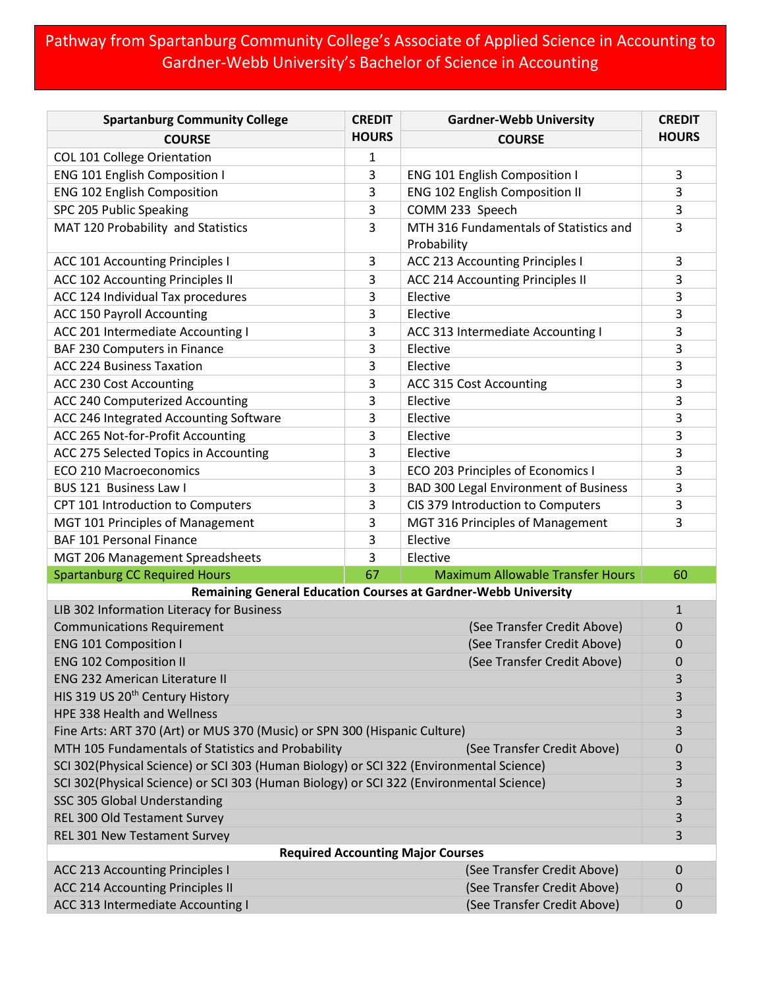## Pathway from Spartanburg Community College's Associate of Applied Science in Accounting to Gardner-Webb University's Bachelor of Science in Accounting

| <b>Spartanburg Community College</b>                                                    | <b>CREDIT</b> | <b>Gardner-Webb University</b>                                 | <b>CREDIT</b>  |
|-----------------------------------------------------------------------------------------|---------------|----------------------------------------------------------------|----------------|
| <b>COURSE</b>                                                                           | <b>HOURS</b>  | <b>COURSE</b>                                                  | <b>HOURS</b>   |
| COL 101 College Orientation                                                             | 1             |                                                                |                |
| <b>ENG 101 English Composition I</b>                                                    | 3             | <b>ENG 101 English Composition I</b>                           | 3              |
| <b>ENG 102 English Composition</b>                                                      | 3             | <b>ENG 102 English Composition II</b>                          | 3              |
| SPC 205 Public Speaking                                                                 | 3             | COMM 233 Speech                                                | 3              |
| MAT 120 Probability and Statistics                                                      | 3             | MTH 316 Fundamentals of Statistics and<br>Probability          | 3              |
| <b>ACC 101 Accounting Principles I</b>                                                  | 3             | ACC 213 Accounting Principles I                                | 3              |
| ACC 102 Accounting Principles II                                                        | 3             | <b>ACC 214 Accounting Principles II</b>                        | 3              |
| ACC 124 Individual Tax procedures                                                       | 3             | Elective                                                       | 3              |
| <b>ACC 150 Payroll Accounting</b>                                                       | 3             | Elective                                                       | 3              |
| ACC 201 Intermediate Accounting I                                                       | 3             | ACC 313 Intermediate Accounting I                              | 3              |
| BAF 230 Computers in Finance                                                            | 3             | Elective                                                       | 3              |
| <b>ACC 224 Business Taxation</b>                                                        | 3             | Elective                                                       | 3              |
| ACC 230 Cost Accounting                                                                 | 3             | ACC 315 Cost Accounting                                        | 3              |
| <b>ACC 240 Computerized Accounting</b>                                                  | 3             | Elective                                                       | 3              |
| ACC 246 Integrated Accounting Software                                                  | 3             | Elective                                                       | 3              |
| ACC 265 Not-for-Profit Accounting                                                       | 3             | Elective                                                       | 3              |
| ACC 275 Selected Topics in Accounting                                                   | 3             | Elective                                                       | 3              |
| <b>ECO 210 Macroeconomics</b>                                                           | 3             | ECO 203 Principles of Economics I                              | 3              |
| BUS 121 Business Law I                                                                  | 3             | <b>BAD 300 Legal Environment of Business</b>                   | 3              |
| CPT 101 Introduction to Computers                                                       | 3             | CIS 379 Introduction to Computers                              | 3              |
| MGT 101 Principles of Management                                                        | 3             | MGT 316 Principles of Management                               | 3              |
| <b>BAF 101 Personal Finance</b>                                                         | 3             | Elective                                                       |                |
| MGT 206 Management Spreadsheets                                                         | 3             | Elective                                                       |                |
| <b>Spartanburg CC Required Hours</b>                                                    | 67            | <b>Maximum Allowable Transfer Hours</b>                        | 60             |
|                                                                                         |               | Remaining General Education Courses at Gardner-Webb University |                |
| LIB 302 Information Literacy for Business                                               |               |                                                                | $\mathbf{1}$   |
| <b>Communications Requirement</b>                                                       |               | (See Transfer Credit Above)                                    | 0              |
| <b>ENG 101 Composition I</b>                                                            |               | (See Transfer Credit Above)                                    | 0              |
| <b>ENG 102 Composition II</b>                                                           |               | (See Transfer Credit Above)                                    | $\overline{0}$ |
| <b>ENG 232 American Literature II</b>                                                   |               |                                                                | 3              |
| HIS 319 US 20 <sup>th</sup> Century History                                             |               |                                                                | 3              |
| HPE 338 Health and Wellness                                                             |               |                                                                | 3              |
| Fine Arts: ART 370 (Art) or MUS 370 (Music) or SPN 300 (Hispanic Culture)               |               |                                                                | 3              |
| MTH 105 Fundamentals of Statistics and Probability<br>(See Transfer Credit Above)       |               |                                                                | 0              |
| SCI 302(Physical Science) or SCI 303 (Human Biology) or SCI 322 (Environmental Science) |               |                                                                | 3              |
| SCI 302(Physical Science) or SCI 303 (Human Biology) or SCI 322 (Environmental Science) |               |                                                                | 3              |
| SSC 305 Global Understanding                                                            |               |                                                                | 3              |
| REL 300 Old Testament Survey                                                            |               |                                                                | 3<br>3         |
| REL 301 New Testament Survey                                                            |               |                                                                |                |
| <b>Required Accounting Major Courses</b>                                                |               |                                                                |                |
| <b>ACC 213 Accounting Principles I</b>                                                  |               | (See Transfer Credit Above)                                    | 0              |
| <b>ACC 214 Accounting Principles II</b>                                                 |               | (See Transfer Credit Above)                                    | 0              |
| ACC 313 Intermediate Accounting I                                                       |               | (See Transfer Credit Above)                                    | $\mathbf 0$    |